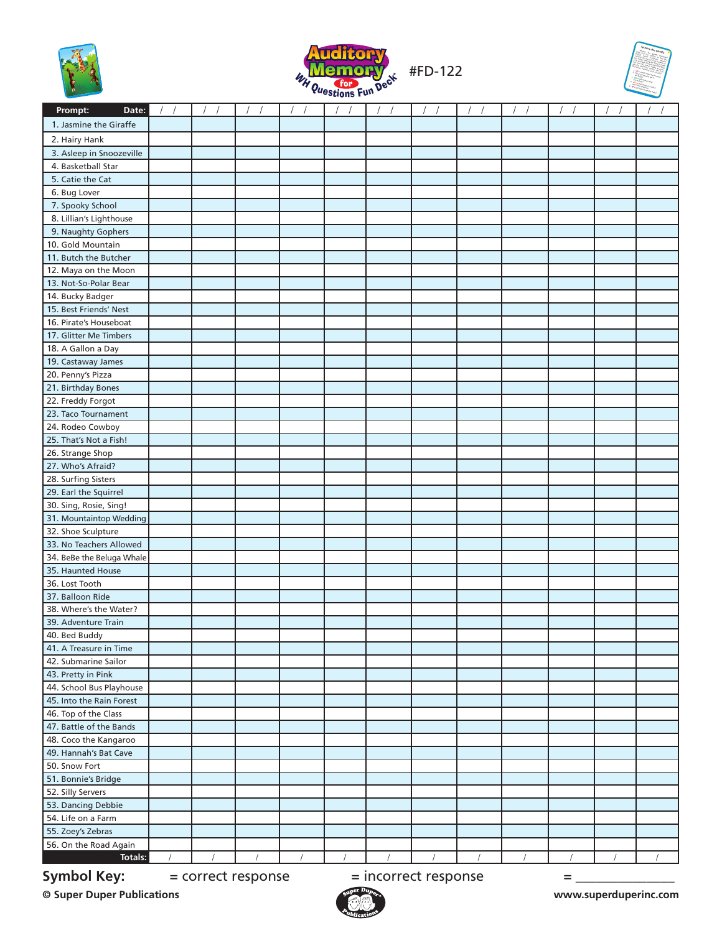





| Date:<br>Prompt:          |  |                    |  |                      |  |   |  |
|---------------------------|--|--------------------|--|----------------------|--|---|--|
| 1. Jasmine the Giraffe    |  |                    |  |                      |  |   |  |
| 2. Hairy Hank             |  |                    |  |                      |  |   |  |
| 3. Asleep in Snoozeville  |  |                    |  |                      |  |   |  |
| 4. Basketball Star        |  |                    |  |                      |  |   |  |
| 5. Catie the Cat          |  |                    |  |                      |  |   |  |
| 6. Bug Lover              |  |                    |  |                      |  |   |  |
| 7. Spooky School          |  |                    |  |                      |  |   |  |
| 8. Lillian's Lighthouse   |  |                    |  |                      |  |   |  |
| 9. Naughty Gophers        |  |                    |  |                      |  |   |  |
| 10. Gold Mountain         |  |                    |  |                      |  |   |  |
| 11. Butch the Butcher     |  |                    |  |                      |  |   |  |
| 12. Maya on the Moon      |  |                    |  |                      |  |   |  |
| 13. Not-So-Polar Bear     |  |                    |  |                      |  |   |  |
| 14. Bucky Badger          |  |                    |  |                      |  |   |  |
| 15. Best Friends' Nest    |  |                    |  |                      |  |   |  |
| 16. Pirate's Houseboat    |  |                    |  |                      |  |   |  |
| 17. Glitter Me Timbers    |  |                    |  |                      |  |   |  |
| 18. A Gallon a Day        |  |                    |  |                      |  |   |  |
| 19. Castaway James        |  |                    |  |                      |  |   |  |
| 20. Penny's Pizza         |  |                    |  |                      |  |   |  |
| 21. Birthday Bones        |  |                    |  |                      |  |   |  |
| 22. Freddy Forgot         |  |                    |  |                      |  |   |  |
| 23. Taco Tournament       |  |                    |  |                      |  |   |  |
| 24. Rodeo Cowboy          |  |                    |  |                      |  |   |  |
| 25. That's Not a Fish!    |  |                    |  |                      |  |   |  |
| 26. Strange Shop          |  |                    |  |                      |  |   |  |
| 27. Who's Afraid?         |  |                    |  |                      |  |   |  |
| 28. Surfing Sisters       |  |                    |  |                      |  |   |  |
| 29. Earl the Squirrel     |  |                    |  |                      |  |   |  |
| 30. Sing, Rosie, Sing!    |  |                    |  |                      |  |   |  |
| 31. Mountaintop Wedding   |  |                    |  |                      |  |   |  |
| 32. Shoe Sculpture        |  |                    |  |                      |  |   |  |
| 33. No Teachers Allowed   |  |                    |  |                      |  |   |  |
| 34. BeBe the Beluga Whale |  |                    |  |                      |  |   |  |
| 35. Haunted House         |  |                    |  |                      |  |   |  |
| 36. Lost Tooth            |  |                    |  |                      |  |   |  |
| 37. Balloon Ride          |  |                    |  |                      |  |   |  |
| 38. Where's the Water?    |  |                    |  |                      |  |   |  |
| 39. Adventure Train       |  |                    |  |                      |  |   |  |
| 40. Bed Buddy             |  |                    |  |                      |  |   |  |
| 41. A Treasure in Time    |  |                    |  |                      |  |   |  |
| 42. Submarine Sailor      |  |                    |  |                      |  |   |  |
| 43. Pretty in Pink        |  |                    |  |                      |  |   |  |
| 44. School Bus Playhouse  |  |                    |  |                      |  |   |  |
| 45. Into the Rain Forest  |  |                    |  |                      |  |   |  |
| 46. Top of the Class      |  |                    |  |                      |  |   |  |
| 47. Battle of the Bands   |  |                    |  |                      |  |   |  |
| 48. Coco the Kangaroo     |  |                    |  |                      |  |   |  |
| 49. Hannah's Bat Cave     |  |                    |  |                      |  |   |  |
| 50. Snow Fort             |  |                    |  |                      |  |   |  |
| 51. Bonnie's Bridge       |  |                    |  |                      |  |   |  |
| 52. Silly Servers         |  |                    |  |                      |  |   |  |
| 53. Dancing Debbie        |  |                    |  |                      |  |   |  |
| 54. Life on a Farm        |  |                    |  |                      |  |   |  |
| 55. Zoey's Zebras         |  |                    |  |                      |  |   |  |
| 56. On the Road Again     |  |                    |  |                      |  |   |  |
| Totals:                   |  |                    |  |                      |  |   |  |
| <b>Symbol Key:</b>        |  | = correct response |  | = incorrect response |  | = |  |